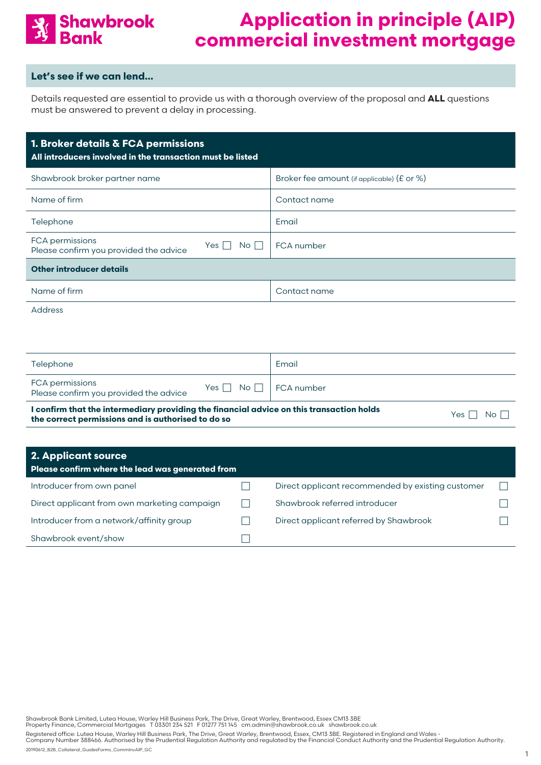

#### **Let's see if we can lend…**

Details requested are essential to provide us with a thorough overview of the proposal and **ALL** questions must be answered to prevent a delay in processing.

| 1. Broker details & FCA permissions<br>All introducers involved in the transaction must be listed |                                            |  |  |  |  |  |  |
|---------------------------------------------------------------------------------------------------|--------------------------------------------|--|--|--|--|--|--|
| Shawbrook broker partner name                                                                     | Broker fee amount (if applicable) (£ or %) |  |  |  |  |  |  |
| Name of firm                                                                                      | Contact name                               |  |  |  |  |  |  |
| Telephone                                                                                         | Email                                      |  |  |  |  |  |  |
| FCA permissions<br>No <sub>1</sub><br>Yes I<br>Please confirm you provided the advice             | <b>FCA</b> number                          |  |  |  |  |  |  |
| <b>Other introducer details</b>                                                                   |                                            |  |  |  |  |  |  |
| Name of firm                                                                                      | Contact name                               |  |  |  |  |  |  |
| .                                                                                                 |                                            |  |  |  |  |  |  |

Address

| Telephone                                                 |                                   | Email |
|-----------------------------------------------------------|-----------------------------------|-------|
| FCA permissions<br>Please confirm you provided the advice | Yes $\Box$ No $\Box$   FCA number |       |
| .<br>$-$                                                  | .                                 |       |

**I confirm that the intermediary providing the financial advice on this transaction holds the correct permissions and is authorised to do so the correct permissions and is authorised to do so Yes**  $\Box$  No  $\Box$ 

| <b>2. Applicant source</b><br>Please confirm where the lead was generated from |                                                   |  |
|--------------------------------------------------------------------------------|---------------------------------------------------|--|
| Introducer from own panel                                                      | Direct applicant recommended by existing customer |  |
| Direct applicant from own marketing campaign                                   | Shawbrook referred introducer                     |  |
| Introducer from a network/affinity group                                       | Direct applicant referred by Shawbrook            |  |
| Shawbrook event/show                                                           |                                                   |  |

Shawbrook Bank Limited, Lutea House, Warley Hill Business Park, The Drive, Great Warley, Brentwood, Essex CM13 3BE<br>Property Finance, Commercial Mortgages T 03301 234 521 F 01277 751 145 cm.admin@shawbrook.co.uk shaw

Registered office: Lutea House, Warley Hill Business Park, The Drive, Great Warley, Brentwood, Essex, CM13 3BE. Registered in England and Wales -<br>Company Number 388466. Authorised by the Prudential Regulation Authority and 20190612\_B2B\_Collateral\_GuidesForms\_CommInvAIP\_GC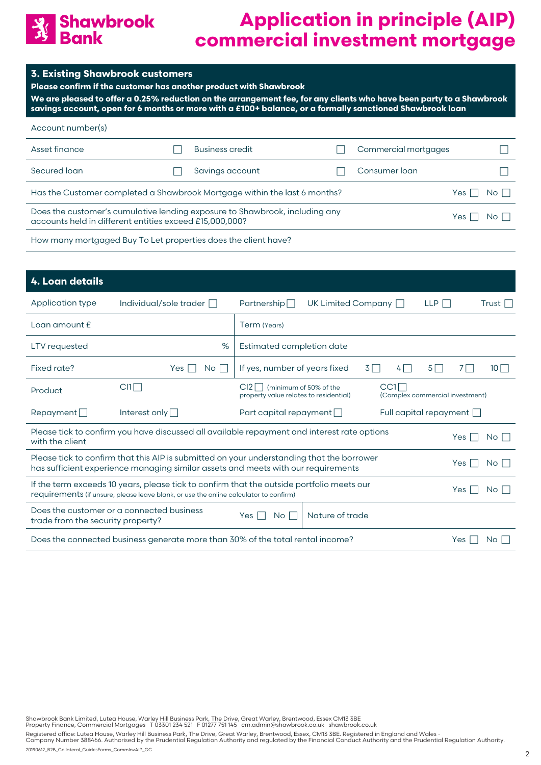

|  |  | <b>3. Existing Shawbrook customers</b> |  |
|--|--|----------------------------------------|--|
|  |  |                                        |  |

**Please confirm if the customer has another product with Shawbrook**

**We are pleased to offer a 0.25% reduction on the arrangement fee, for any clients who have been party to a Shawbrook savings account, open for 6 months or more with a £100+ balance, or a formally sanctioned Shawbrook loan**

| Account number(s)                                                                                                                                        |  |                        |  |                      |  |  |
|----------------------------------------------------------------------------------------------------------------------------------------------------------|--|------------------------|--|----------------------|--|--|
| Asset finance                                                                                                                                            |  | <b>Business credit</b> |  | Commercial mortgages |  |  |
| Secured loan                                                                                                                                             |  | Savings account        |  | Consumer loan        |  |  |
| Has the Customer completed a Shawbrook Mortgage within the last 6 months?<br>Yes                                                                         |  |                        |  |                      |  |  |
| Does the customer's cumulative lending exposure to Shawbrook, including any<br>Yes I<br>No II<br>accounts held in different entities exceed £15,000,000? |  |                        |  |                      |  |  |
|                                                                                                                                                          |  |                        |  |                      |  |  |

How many mortgaged Buy To Let properties does the client have?

| 4. Loan details                                                                                                                                                                                  |                                                                                             |                                                                               |                      |                                        |            |      |          |
|--------------------------------------------------------------------------------------------------------------------------------------------------------------------------------------------------|---------------------------------------------------------------------------------------------|-------------------------------------------------------------------------------|----------------------|----------------------------------------|------------|------|----------|
| Application type                                                                                                                                                                                 | Individual/sole trader $\Box$                                                               | Partnership $\Box$                                                            | UK Limited Company [ |                                        | <b>LLP</b> |      | Trust    |
| Loan amount $E$                                                                                                                                                                                  |                                                                                             | Term (Years)                                                                  |                      |                                        |            |      |          |
| LTV requested                                                                                                                                                                                    | %                                                                                           | Estimated completion date                                                     |                      |                                        |            |      |          |
| Fixed rate?                                                                                                                                                                                      | Yes<br>No l                                                                                 | If yes, number of years fixed                                                 |                      | 31<br>4   1                            | $5\Box$    |      | $10\Box$ |
| Product                                                                                                                                                                                          | $C11$ $\Box$                                                                                | (minimum of 50% of the<br>$Cl2$    <br>property value relates to residential) |                      | CCI<br>(Complex commercial investment) |            |      |          |
| Repayment                                                                                                                                                                                        | Interest only $\Box$                                                                        | Part capital repayment $\Box$                                                 |                      | Full capital repayment $\Box$          |            |      |          |
| with the client                                                                                                                                                                                  | Please tick to confirm you have discussed all available repayment and interest rate options |                                                                               |                      |                                        |            | Yes  | No I     |
| Please tick to confirm that this AIP is submitted on your understanding that the borrower<br>Yes.<br>has sufficient experience managing similar assets and meets with our requirements           |                                                                                             |                                                                               |                      |                                        |            | No I |          |
| If the term exceeds 10 years, please tick to confirm that the outside portfolio meets our<br>Yes<br>No.<br>requirements (if unsure, please leave blank, or use the online calculator to confirm) |                                                                                             |                                                                               |                      |                                        |            |      |          |
| Does the customer or a connected business<br>Nature of trade<br>No.<br>Yes<br>trade from the security property?                                                                                  |                                                                                             |                                                                               |                      |                                        |            |      |          |
| Does the connected business generate more than 30% of the total rental income?<br><b>Yes</b><br><b>No</b>                                                                                        |                                                                                             |                                                                               |                      |                                        |            |      |          |

Shawbrook Bank Limited, Lutea House, Warley Hill Business Park, The Drive, Great Warley, Brentwood, Essex CM13 3BE<br>Property Finance, Commercial Mortgages T 03301 234 521 F 01277 751 145 cm.admin@shawbrook.co.uk shaw

Registered office: Lutea House, Warley Hill Business Park, The Drive, Great Warley, Brentwood, Essex, CM13 3BE. Registered in England and Wales -<br>Company Number 388466. Authorised by the Prudential Regulation Authority and

20190612\_B2B\_Collateral\_GuidesForms\_CommInvAIP\_GC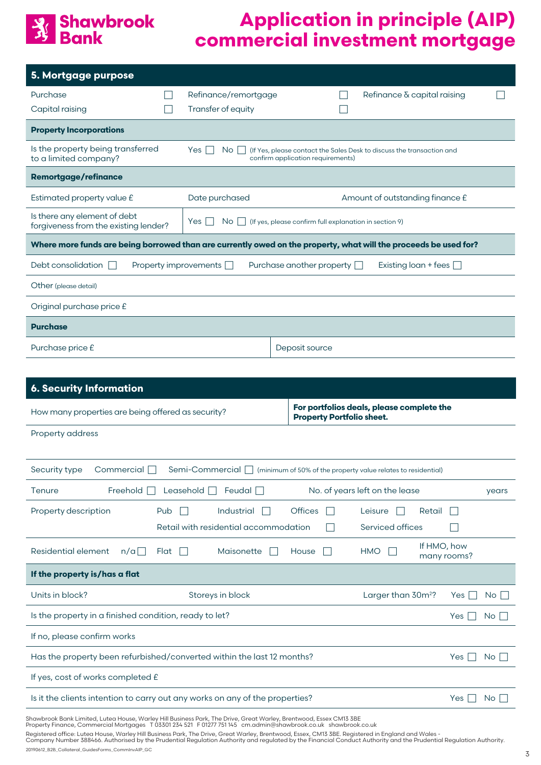### **Shawbrook**<br>**Bank**  $\frac{1}{2}$

## **Application in principle (AIP) commercial investment mortgage**

| 5. Mortgage purpose                                                                                                                 |  |                                                                                         |                                   |  |                                                                       |  |  |
|-------------------------------------------------------------------------------------------------------------------------------------|--|-----------------------------------------------------------------------------------------|-----------------------------------|--|-----------------------------------------------------------------------|--|--|
| Purchase                                                                                                                            |  | Refinance/remortgage                                                                    |                                   |  | Refinance & capital raising                                           |  |  |
| Capital raising                                                                                                                     |  | Transfer of equity                                                                      |                                   |  |                                                                       |  |  |
| <b>Property Incorporations</b>                                                                                                      |  |                                                                                         |                                   |  |                                                                       |  |  |
| Is the property being transferred<br>to a limited company?                                                                          |  | Yes  <br>No I                                                                           | confirm application requirements) |  | (If Yes, please contact the Sales Desk to discuss the transaction and |  |  |
| <b>Remortgage/refinance</b>                                                                                                         |  |                                                                                         |                                   |  |                                                                       |  |  |
| Estimated property value £                                                                                                          |  | Date purchased                                                                          |                                   |  | Amount of outstanding finance £                                       |  |  |
| Is there any element of debt<br>forgiveness from the existing lender?                                                               |  | Yes<br>No <sub>1</sub><br>$\Box$ (If yes, please confirm full explanation in section 9) |                                   |  |                                                                       |  |  |
| Where more funds are being borrowed than are currently owed on the property, what will the proceeds be used for?                    |  |                                                                                         |                                   |  |                                                                       |  |  |
| Debt consolidation                                                                                                                  |  | Property improvements $\Box$                                                            | Purchase another property $\Box$  |  | Existing loan + fees $\Box$                                           |  |  |
| Other (please detail)                                                                                                               |  |                                                                                         |                                   |  |                                                                       |  |  |
| Original purchase price £                                                                                                           |  |                                                                                         |                                   |  |                                                                       |  |  |
| <b>Purchase</b>                                                                                                                     |  |                                                                                         |                                   |  |                                                                       |  |  |
| Purchase price £                                                                                                                    |  |                                                                                         | Deposit source                    |  |                                                                       |  |  |
|                                                                                                                                     |  |                                                                                         |                                   |  |                                                                       |  |  |
| <b>6. Security Information</b>                                                                                                      |  |                                                                                         |                                   |  |                                                                       |  |  |
| For portfolios deals, please complete the<br>How many properties are being offered as security?<br><b>Property Portfolio sheet.</b> |  |                                                                                         |                                   |  |                                                                       |  |  |
| <b>Property address</b>                                                                                                             |  |                                                                                         |                                   |  |                                                                       |  |  |
|                                                                                                                                     |  |                                                                                         |                                   |  |                                                                       |  |  |
|                                                                                                                                     |  |                                                                                         |                                   |  |                                                                       |  |  |

| Security type<br>Commercial<br>Semi-Commercial   (minimum of 50% of the property value relates to residential) |                      |                                       |                             |                                |                            |     |                      |
|----------------------------------------------------------------------------------------------------------------|----------------------|---------------------------------------|-----------------------------|--------------------------------|----------------------------|-----|----------------------|
| Freehold $\Box$<br>Leasehold $\Box$ Feudal $\Box$<br>No. of years left on the lease<br>Tenure                  |                      |                                       |                             |                                |                            |     | years                |
| Property description                                                                                           | Pub                  | Industrial                            | <b>Offices</b><br><b>TA</b> | Leisure                        | Retail                     |     |                      |
|                                                                                                                |                      | Retail with residential accommodation |                             | Serviced offices               |                            |     |                      |
| Residential element<br>$n/a$                                                                                   | Flat<br>$\mathbf{L}$ | Maisonette                            | House                       | <b>HMO</b>                     | If HMO, how<br>many rooms? |     |                      |
| If the property is/has a flat                                                                                  |                      |                                       |                             |                                |                            |     |                      |
| Units in block?                                                                                                | Storeys in block     |                                       |                             | Larger than 30m <sup>2</sup> ? |                            | Yes | $No$ $\vert \ \vert$ |
| Is the property in a finished condition, ready to let?                                                         |                      |                                       |                             |                                |                            | Yes | No.                  |
| If no, please confirm works                                                                                    |                      |                                       |                             |                                |                            |     |                      |
| Has the property been refurbished/converted within the last 12 months?<br>Yes                                  |                      |                                       |                             |                                |                            | No. |                      |
| If yes, cost of works completed £                                                                              |                      |                                       |                             |                                |                            |     |                      |
| Is it the clients intention to carry out any works on any of the properties?<br>Yes                            |                      |                                       |                             |                                |                            | No. |                      |
| Shawbrook Bank Limited Luteg House Warley Hill Business Park The Drive Great Warley Brentwood Essex CM13 3RF   |                      |                                       |                             |                                |                            |     |                      |

Shawbrook Bank Limited, Lutea House, Warley Hill Business Park, The Drive, Great Warley, Brentwood, Essex CM13 3BE<br>Property Finance, Commercial Mortgages T 03301 234 521 F 01277 751 145 cm.admin@shawbrook.co.uk shaw

Registered office: Lutea House, Warley Hill Business Park, The Drive, Great Warley, Brentwood, Essex, CM13 3BE. Registered in England and Wales -<br>Company Number 388466. Authorised by the Prudential Regulation Authority and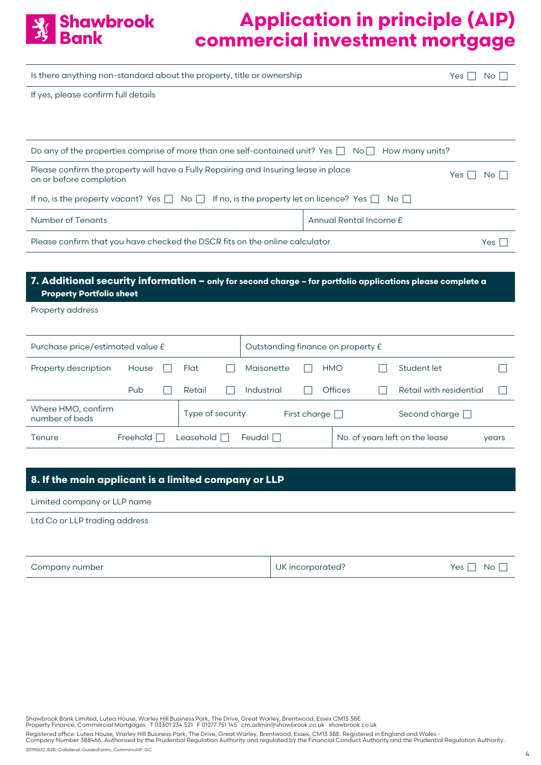

| Is there anything non-standard about the property, title or ownership                                          |                        |     |       |  |  |
|----------------------------------------------------------------------------------------------------------------|------------------------|-----|-------|--|--|
| If yes, please confirm full details                                                                            |                        |     |       |  |  |
|                                                                                                                |                        |     |       |  |  |
|                                                                                                                |                        |     |       |  |  |
| Do any of the properties comprise of more than one self-contained unit? Yes $\Box$ No $\Box$                   | How many units?        |     |       |  |  |
| Please confirm the property will have a Fully Repairing and Insuring lease in place<br>on or before completion |                        | Yes | No II |  |  |
| If no, is the property vacant? Yes $\Box$ No $\Box$ If no, is the property let on licence? Yes $\Box$          | No II                  |     |       |  |  |
| <b>Number of Tenants</b>                                                                                       | Annual Rental Income £ |     |       |  |  |
| Please confirm that you have checked the DSCR fits on the online calculator                                    |                        |     |       |  |  |
|                                                                                                                |                        |     |       |  |  |

#### **7. Additional security information – only for second charge – for portfolio applications please complete a Property Portfolio sheet**

Property address

| Purchase price/estimated value £     |                 |  |                  | Outstanding finance on property £ |               |                     |  |                |  |                                |       |
|--------------------------------------|-----------------|--|------------------|-----------------------------------|---------------|---------------------|--|----------------|--|--------------------------------|-------|
| Property description                 | House           |  | Flat             |                                   | Maisonette    |                     |  | <b>HMO</b>     |  | Student let                    |       |
|                                      | Pub             |  | Retail           |                                   | Industrial    |                     |  | <b>Offices</b> |  | Retail with residential        |       |
| Where HMO, confirm<br>number of beds |                 |  | Type of security |                                   |               | First charge $\Box$ |  |                |  | Second charge $\Box$           |       |
| Tenure                               | Freehold $\Box$ |  | Leasehold $\Box$ |                                   | Feudal $\Box$ |                     |  |                |  | No. of years left on the lease | years |

#### **8. If the main applicant is a limited company or LLP**

Limited company or LLP name

Ltd Co or LLP trading address

| Company number | UK incorporated? | Yes [<br>No I |
|----------------|------------------|---------------|
|----------------|------------------|---------------|

Shawbrook Bank Limited, Lutea House, Warley Hill Business Park, The Drive, Great Warley, Brentwood, Essex CM13 3BE<br>Property Finance, Commercial Mortgages T 03301 234 521 F 01277 751 145 cm.admin@shawbrook.co.uk shaw

Registered office: Lutea House, Warley Hill Business Park, The Drive, Great Warley, Brentwood, Essex, CM13 3BE. Registered in England and Wales -<br>Company Number 388466. Authorised by the Prudential Regulation Authority and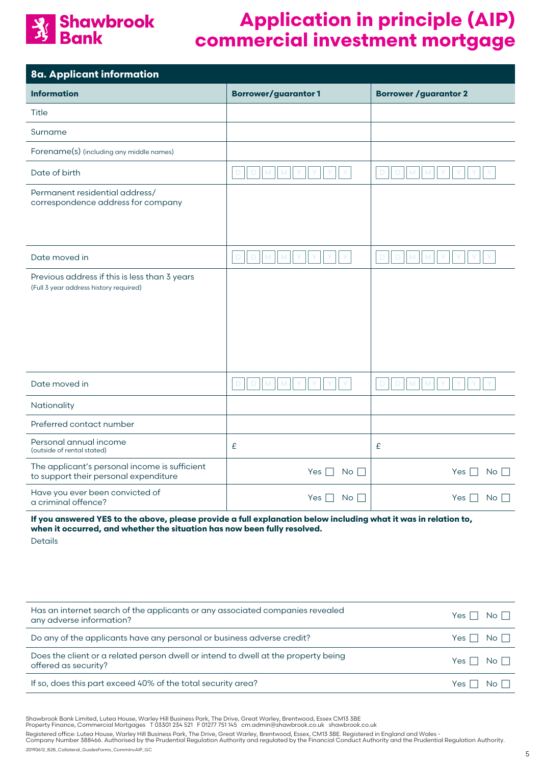# **Shawbrook**<br>**Bank**

## **Application in principle (AIP) commercial investment mortgage**

| 8a. Applicant information                                                               |                                 |                                                |
|-----------------------------------------------------------------------------------------|---------------------------------|------------------------------------------------|
| <b>Information</b>                                                                      | <b>Borrower/guarantor1</b>      | <b>Borrower / guarantor 2</b>                  |
| Title                                                                                   |                                 |                                                |
| Surname                                                                                 |                                 |                                                |
| Forename(s) (including any middle names)                                                |                                 |                                                |
| Date of birth                                                                           | $\mathsf D$<br>D<br>M<br>M      | M<br>$\mathsf D$<br>$\mathbb D$<br>$M_{\odot}$ |
| Permanent residential address/<br>correspondence address for company                    |                                 |                                                |
| Date moved in                                                                           | $D$ $D$ $M$ $M$<br>Y<br>Y       | $D$ $M$ $N$ $Y$<br>$\mathsf D$<br>I Y<br>Y     |
| Previous address if this is less than 3 years<br>(Full 3 year address history required) |                                 |                                                |
| Date moved in                                                                           | $\Box$<br>$\Box$<br>M<br>M<br>Y | $\mathsf D$<br>D<br>M<br>M                     |
| Nationality                                                                             |                                 |                                                |
| Preferred contact number                                                                |                                 |                                                |
| Personal annual income<br>(outside of rental stated)                                    | £                               | £                                              |
| The applicant's personal income is sufficient<br>to support their personal expenditure  | Yes $\Box$<br>$No \Box$         | No <sub>1</sub><br>Yes $\Box$                  |
| Have you ever been convicted of<br>a criminal offence?                                  | Yes  <br>$No$                   | Yes  <br>$No \ \bigsqcup$                      |
|                                                                                         |                                 |                                                |

**If you answered YES to the above, please provide a full explanation below including what it was in relation to, when it occurred, and whether the situation has now been fully resolved.** 

Details

| Has an internet search of the applicants or any associated companies revealed<br>any adverse information?  | Yes $\Box$ No $\Box$ |       |
|------------------------------------------------------------------------------------------------------------|----------------------|-------|
| Do any of the applicants have any personal or business adverse credit?                                     | $Yes \Box No \Box$   |       |
| Does the client or a related person dwell or intend to dwell at the property being<br>offered as security? | Yes $\Box$ No $\Box$ |       |
| If so, does this part exceed 40% of the total security area?                                               | Yes I I              | No II |

Shawbrook Bank Limited, Lutea House, Warley Hill Business Park, The Drive, Great Warley, Brentwood, Essex CM13 3BE<br>Property Finance, Commercial Mortgages T 03301 234 521 F 01277 751 145 cm.admin@shawbrook.co.uk shaw

Registered office: Lutea House, Warley Hill Business Park, The Drive, Great Warley, Brentwood, Essex, CM13 3BE. Registered in England and Wales -<br>Company Number 388466. Authorised by the Prudential Regulation Authority and

20190612\_B2B\_Collateral\_GuidesForms\_CommInvAIP\_GC